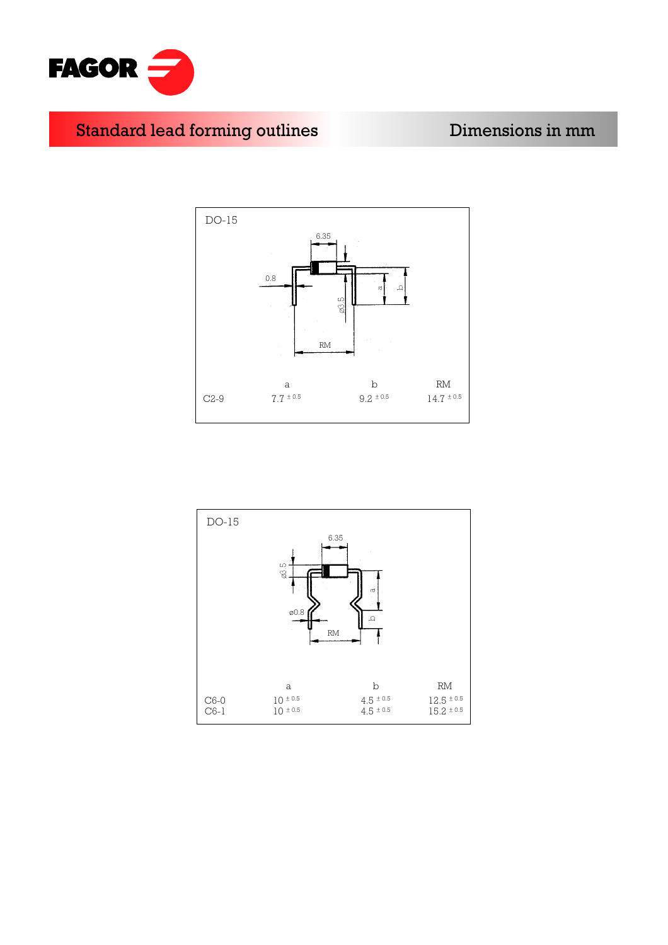

## Standard lead forming outlines **Example 10** Dimensions in mm



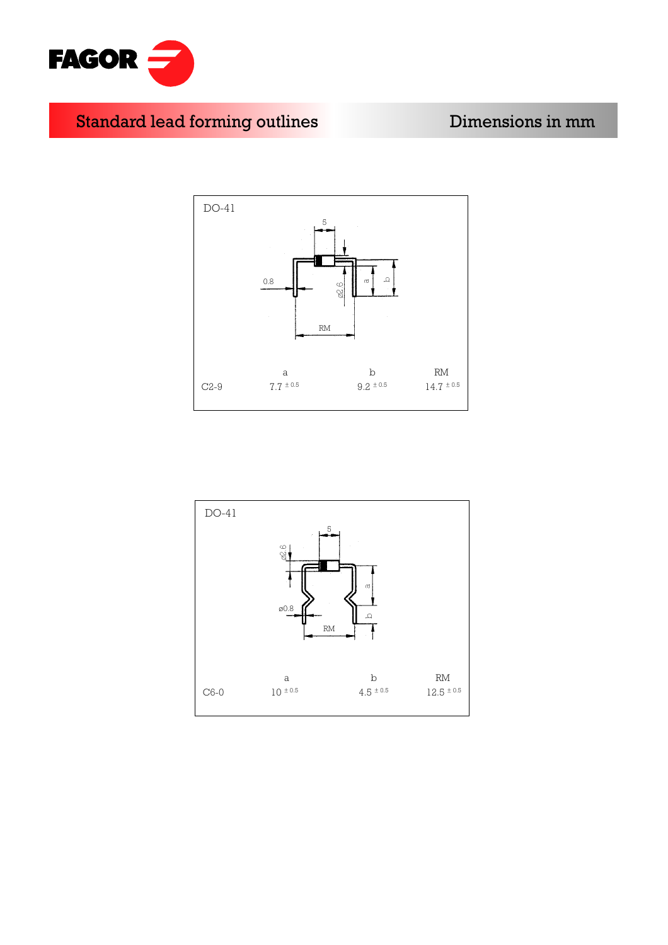

Standard lead forming outlines **Example 10** Dimensions in mm